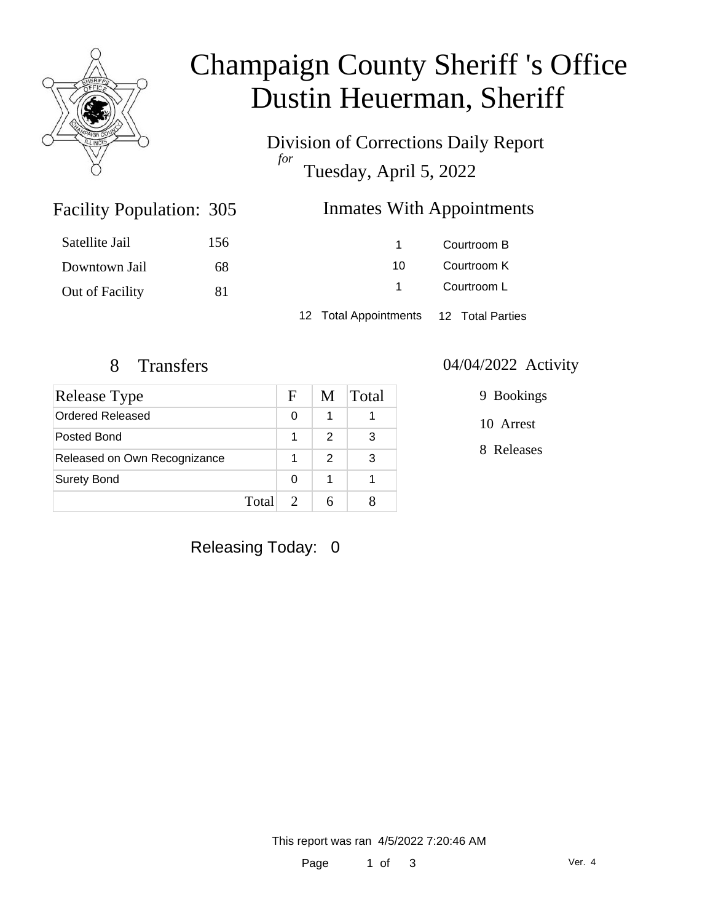

# Champaign County Sheriff 's Office Dustin Heuerman, Sheriff

Division of Corrections Daily Report *for* Tuesday, April 5, 2022

### Inmates With Appointments

| Satellite Jail  | 156 |                                        | Courtroom B |  |
|-----------------|-----|----------------------------------------|-------------|--|
| Downtown Jail   | 68  | 10.                                    | Courtroom K |  |
| Out of Facility | 81  |                                        | Courtroom L |  |
|                 |     | 12 Total Appointments 12 Total Parties |             |  |

Facility Population: 305

| <b>Release Type</b>          |       | F | M             | <b>Total</b> |
|------------------------------|-------|---|---------------|--------------|
| Ordered Released             |       | 0 |               |              |
| Posted Bond                  |       |   | 2             | 3            |
| Released on Own Recognizance |       |   | $\mathcal{P}$ | 3            |
| <b>Surety Bond</b>           |       | 0 | 1             |              |
|                              | Total |   |               |              |

#### 8 Transfers 04/04/2022 Activity

9 Bookings

10 Arrest

8 Releases

Releasing Today: 0

This report was ran 4/5/2022 7:20:46 AM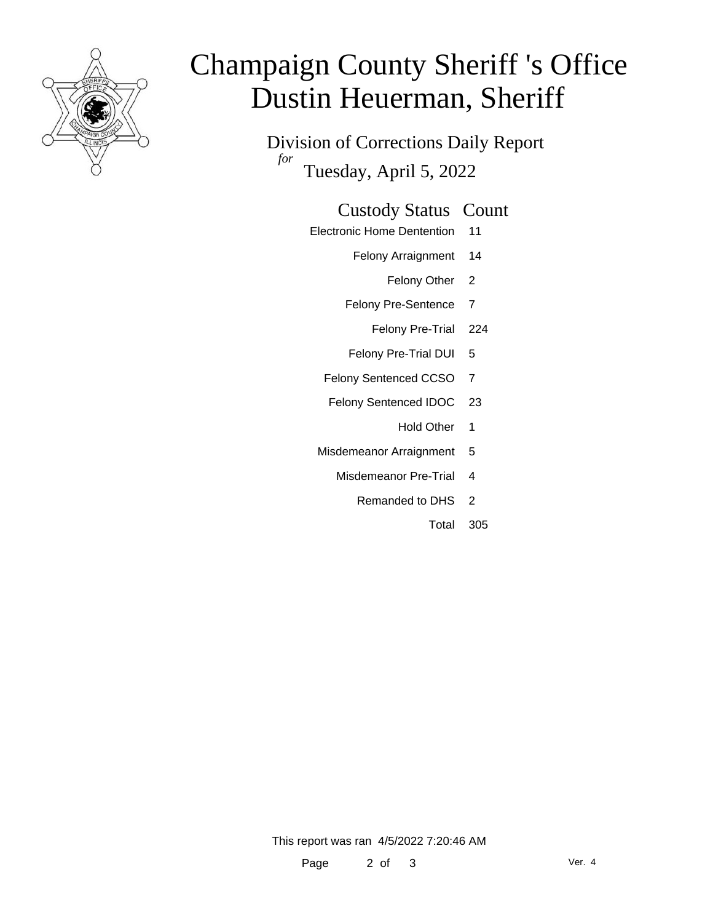

# Champaign County Sheriff 's Office Dustin Heuerman, Sheriff

Division of Corrections Daily Report *for* Tuesday, April 5, 2022

#### Custody Status Count

- Electronic Home Dentention 11
	- Felony Arraignment 14
		- Felony Other 2
	- Felony Pre-Sentence 7
		- Felony Pre-Trial 224
	- Felony Pre-Trial DUI 5
	- Felony Sentenced CCSO 7
	- Felony Sentenced IDOC 23
		- Hold Other 1
	- Misdemeanor Arraignment 5
		- Misdemeanor Pre-Trial 4
			- Remanded to DHS 2
				- Total 305

This report was ran 4/5/2022 7:20:46 AM